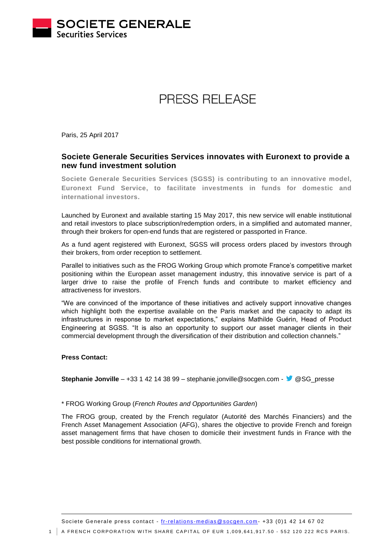

# PRESS RELEASE

Paris, 25 April 2017

## **Societe Generale Securities Services innovates with Euronext to provide a new fund investment solution**

**Societe Generale Securities Services (SGSS) is contributing to an innovative model, Euronext Fund Service, to facilitate investments in funds for domestic and international investors.**

Launched by Euronext and available starting 15 May 2017, this new service will enable institutional and retail investors to place subscription/redemption orders, in a simplified and automated manner, through their brokers for open-end funds that are registered or passported in France.

As a fund agent registered with Euronext, SGSS will process orders placed by investors through their brokers, from order reception to settlement.

Parallel to initiatives such as the FROG Working Group which promote France's competitive market positioning within the European asset management industry, this innovative service is part of a larger drive to raise the profile of French funds and contribute to market efficiency and attractiveness for investors.

"We are convinced of the importance of these initiatives and actively support innovative changes which highlight both the expertise available on the Paris market and the capacity to adapt its infrastructures in response to market expectations," explains Mathilde Guérin, Head of Product Engineering at SGSS. "It is also an opportunity to support our asset manager clients in their commercial development through the diversification of their distribution and collection channels."

## **Press Contact:**

**Stephanie Jonville** – +33 1 42 14 38 99 – stephanie.jonville@socgen.com -  $\bullet$  @SG\_presse

## \* FROG Working Group (*French Routes and Opportunities Garden*)

The FROG group, created by the French regulator (Autorité des Marchés Financiers) and the French Asset Management Association (AFG), shares the objective to provide French and foreign asset management firms that have chosen to domicile their investment funds in France with the best possible conditions for international growth.

Societe Generale press contact - fr-relations -medias @socgen.com - +33 (0)1 42 14 67 02